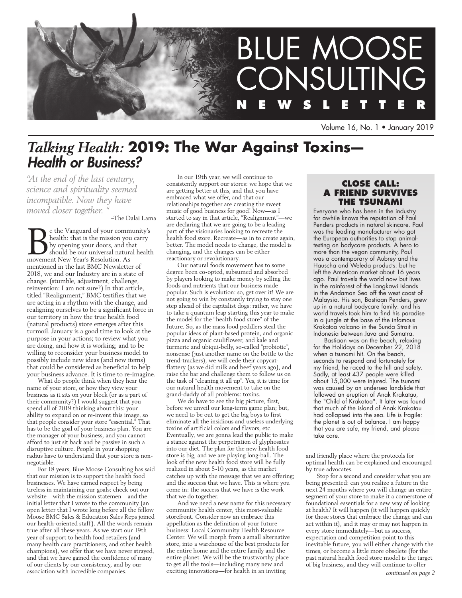

Volume 16, No. 1 • January 2019

# *Talking Health:* **2019: The War Against Toxins—**  *Health or Business?*

*"At the end of the last century, science and spirituality seemed incompatible. Now they have moved closer together. "*

~The Dalai Lama

**BE** the Vanguard of your community's health: that is the mission you carry by opening your doors, and that should be our universal natural health movement New Year's Resolution. As health: that is the mission you carry by opening your doors, and that movement New Year's Resolution. As mentioned in the last BMC Newsletter of 2018, we and our Industry are in a state of change. (stumble, adjustment, challenge, reinvention: I am not sure?) In that article, titled "Realignment," BMC testifies that we are acting in a rhythm with the change, and realigning ourselves to be a significant force in our territory in how the true health food (natural products) store emerges after this turmoil. January is a good time to look at the purpose in your actions; to review what you are doing, and how it is working; and to be willing to reconsider your business model to possibly include new ideas (and new items) that could be considered as beneficial to help your business advance. It is time to re-imagine.

What do people think when they hear the name of your store, or how they view your business as it sits on your block (or as a part of their community?) I would suggest that you spend all of 2019 thinking about this: your ability to expand on or re-invent this image, so that people consider your store "essential." That has to be the goal of your business plan. You are the manager of your business, and you cannot afford to just sit back and be passive in such a disruptive culture. People in your shopping radius have to understand that your store is nonnegotiable.

For 18 years, Blue Moose Consulting has said that our mission is to support the health food businesses. We have earned respect by being tireless in maintaining our goals: check out our website—with the mission statemen—and the initial letter that I wrote to the community (an open letter that I wrote long before all the fellow Moose BMC Sales & Education Sales Reps joined our health-oriented staff). All the words remain true after all these years. As we start our 19th year of support to health food retailers (and many health care practitioners, and other health champions), we offer that we have never strayed, and that we have gained the confidence of many of our clients by our consistency, and by our association with incredible companies.

In our 19th year, we will continue to consistently support our stores: we hope that we are getting better at this, and that you have embraced what we offer, and that our relationships together are creating the sweet music of good business for good! Now—as I started to say in that article, "Realignment"—we are declaring that we are going to be a leading part of the visionaries looking to recreate the health food store. Recreate—as in to create again, better. The model needs to change, the model is changing, and the changes can be either reactionary or revolutionary.

Our natural foods movement has to some degree been co-opted, subsumed and absorbed by players looking to make money by selling the foods and nutrients that our business made popular. Such is evolution: so, get over it! We are not going to win by constantly trying to stay one step ahead of the capitalist dogs: rather, we have to take a quantum leap starting this year to make the model for the "health food store" of the future. So, as the mass food peddlers steal the popular ideas of plant-based protein, and organic pizza and organic cauliflower, and kale and turmeric and ubiqui-belly, so-called "probiotic", nonsense (just another name on the bottle to the trend-trackers), we will cede their copycatflattery (as we did milk and beef years ago), and raise the bar and challenge them to follow us on the task of "cleaning it all up". Yes, it is time for our natural health movement to take on the grand-daddy of all problems: toxins.

We do have to see the big picture, first, before we unveil our long-term game plan; but, we need to be out to get the big boys to first eliminate all the insidious and useless underlying toxins of artificial colors and flavors, etc. Eventually, we are gonna lead the public to make a stance against the perpetration of glyphosates into our diet. The plan for the new health food store is big, and we are playing long-ball. The look of the new health food store will be fully realized in about 5-10 years, as the market catches up with the message that we are offering; and the success that we have. This is where you come in: the success that we have is the work that we do together.

And we need a new name for this necessary community health center, this most-valuable storefront. Consider now an embrace this appellation as the definition of your future business: Local Community Health Resource Center. We will morph from a small alternative store, into a warehouse of the best products for the entire home and the entire family and the entire planet. We will be the trustworthy place to get all the tools—including many new and exciting innovations—for health in an inviting

## **Close call: a friend survives the tsunami**

Everyone who has been in the industry for awhile knows the reputation of Paul Penders products in natural skincare. Paul was the leading manufacturer who got the European authorities to stop animaltesting on bodycare products. A hero to more than the vegan community, Paul was a contemporary of Aubrey and the Hauscha and Weleda products: but he left the American market about 16 years ago. Paul travels the world now but lives in the rainforest of the Langkawi Islands in the Andaman Sea off the west coast of Malaysia. His son, Bastiaan Penders, grew up in a natural bodycare family: and his world travels took him to find his paradise in a jungle at the base of the infamous Krakatoa volcano in the Sunda Strait in Indonesia between Java and Sumatra.

Bastiaan was on the beach, relaxing for the Holidays on December 22, 2018 when a tsunami hit. On the beach, seconds to respond and fortunately for my friend, he raced to the hill and safety. Sadly, at least 437 people were killed about 15,000 were injured. The tsunami was caused by an undersea landslide that followed an eruption of Anak Krakatau, the "Child of Krakatoa". It later was found that much of the island of Anak Krakatau had collapsed into the sea. Life is fragile: the planet is out of balance. I am happy that you are safe, my friend, and please take care.

and friendly place where the protocols for optimal health can be explained and encouraged by true advocates.

Stop for a second and consider what you are being presented: can you realize a future in the next 24 months where you will change an entire segment of your store to make it a cornerstone of foundational essentials for a new way of looking at health? It will happen (it will happen quickly for those stores that embrace the change and can act within it), and it may or may not happen in every store immediately—but as success, expectation and competition point to this inevitable future, you will either change with the times, or become a little more obsolete (for the past natural health food store model is the target of big business, and they will continue to offer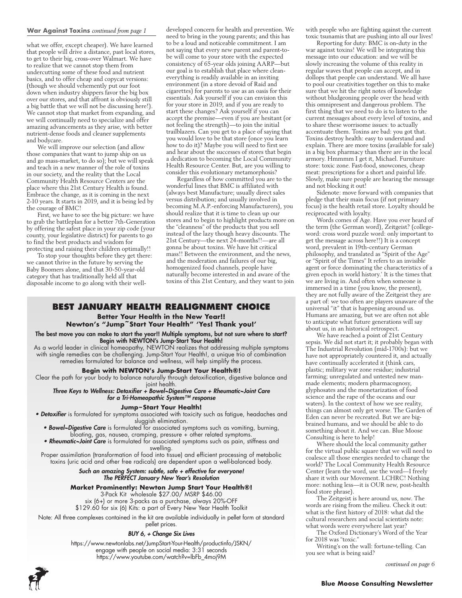#### **War Against Toxins** *continued from page 1*

what we offer, except cheaper). We have learned that people will drive a distance, past local stores, to get to their big, cross-over Walmart. We have to realize that we cannot stop them from undercutting some of these food and nutrient basics, and to offer cheap and copycat versions: (though we should vehemently put our foot down when industry shippers favor the big box over our stores, and that affront is obviously still a big battle that we will not be discussing here!). We cannot stop that market from expanding, and we will continually need to specialize and offer amazing advancements as they arise, with better nutrient-dense foods and cleaner supplements and bodycare.

We will improve our selection (and allow those companies that want to jump ship on us and go mass-market, to do so); but we will speak and teach in a new manner of the role of toxins in our society, and the reality that the Local Community Health Resource Centers are the place where this 21st Century Health is found. Embrace the change, as it is coming in the next 2-10 years. It starts in 2019, and it is being led by the courage of BMC!

First, we have to see the big picture: we have to grab the battleplan for a better 7th-Generation by offering the safest place in your zip code (your county, your legislative district) for parents to go to find the best products and wisdom for protecting and raising their children optimally!!

To stop your thoughts before they get there: we cannot thrive in the future by serving the Baby Boomers alone, and that 30-50-year-old category that has traditionally held all that disposable income to go along with their welldeveloped concern for health and prevention. We need to bring in the young parents; and this has to be a loud and noticeable commitment. I am not saying that every new parent and parent-tobe will come to your store with the expected consistency of 65-year olds joining AARP—but our goal is to establish that place where cleaneverything is readily available in an inviting environment (in a store devoid of Raid and cigarettes) for parents to use as an oasis for their essentials. Ask yourself if you can envision this for your store in 2019, and if you are ready to start these changes? Ask yourself if you can accept the premise—even if you are hesitant (or not feeling the strength)—to join the initial trailblazers. Can you get to a place of saying that you would love to be that store (once you learn how to do it)? Maybe you will need to first see and hear about the successes of stores that begin a dedication to becoming the Local Community Health Resource Center. But, are you willing to consider this evolutionary metamorphosis?

Regardless of how committed you are to the wonderful lines that BMC is affiliated with (always best Manufacture; usually direct sales versus distribution; and usually involved in becoming M.A.P.-enforcing Manufacturers), you should realize that it is time to clean up our stores and to begin to highlight products more on the "cleanness" of the products that you sell instead of the lazy though heavy discounts. The 21st Century—the next 24-months!!—are all gonna be about toxins. We have hit critical mass!! Between the environment, and the news, and the moderation and failures of our big, homogenized food channels, people have naturally become interested in and aware of the toxins of this 21st Century, and they want to join

### **BEST JANUARY HEALTH REALIGNMENT CHOICE**

### **Better Your Health in the New Year!! Newton's "Jump~Start Your Health" 'Yes! Thank you!'**

The best move you can make to start the year!! Multiple symptoms, but not sure where to start? Begin with NEWTON's Jump-Start Your Health!

As a world leader in clinical homeopathy, NEWTON realizes that addressing multiple symptoms with single remedies can be challenging. Jump-Start Your Health!, a unique trio of combination remedies formulated for balance and wellness, will help simplify the process.

### **Begin with NEWTON's Jump-Start Your Health®!**

Clear the path for your body to balance naturally through detoxification, digestive balance and joint health.

*Three Keys to Wellness: Detoxifier + Bowel~Digestive Care + Rheumatic~Joint Care for a Tri-Homeopathic System™ response*

### **Jump~Start Your Health!**

**• Detoxifier** is formulated for symptoms associated with toxicity such as fatigue, headaches and sluggish elimination.

• Bowel~Digestive Care is formulated for associated symptoms such as vomiting, burning, bloating, gas, nausea, cramping, pressure + other related symptoms.

• Rheumatic~Joint Care is formulated for associated symptoms such as pain, stiffness and swelling.

Proper assimilation (transformation of food into tissue) and efficient processing of metabolic toxins (uric acid and other free radicals) are dependent upon a well-balanced body.

#### *Such an amazing System: subtle, safe + effective for everyone! The PERFECT January New Year's Resolution*

#### **Market Prominently: Newton Jump Start Your Health®!**

3-Pack Kit wholesale \$27.00/ MSRP \$46.00 six (6+) or more 3-packs as a purchase, always 20%-OFF

\$129.60 for six (6) Kits: a part of Every New Year Health Toolkit

Note: All three complexes contained in the kit are available individually in pellet form at standard pellet prices.

### *BUY 6, + Change Six Lives*

https://www.newtonlabs.net/JumpStart-Your-Health/productinfo/JSKN/ engage with people on social media: 3:31 seconds https://www.youtube.com/watch?v=lbFb\_4moj9M



Reporting for duty: BMC is on-duty in the war against toxins! We will be integrating this message into our education: and we will be slowly increasing the volume of this reality in regular waves that people can accept, and in dollops that people can understand. We all have to pool our creativities together on this to make sure that we hit the right notes of knowledge without bludgeoning people over the head with this omnipresent and dangerous problem. The first thing that we need to do is to listen to the current messages about every level of toxins, and to share these worrisome issues: to actually accentuate them. Toxins are bad: you got that. Toxins destroy health: easy to understand and explain. There are more toxins (available for sale) in a big box pharmacy than there are in the local armory. Hmmmm I get it, Michael. Furniture store: toxic zone. Fast-food, snowcones, cheap meat: prescriptions for a short and painful life. Slowly, make sure people are hearing the message and not blocking it out!

Sidenote: move forward with companies that pledge that their main focus (if not primary focus) is the health retail store. Loyalty should be reciprocated with loyalty.

Words comes of Age. Have you ever heard of the term (the German word), Zeitgeist? (collegeword: cross word puzzle word: only important to get the message across here!!) It is a concept word, prevalent in 19th-century German philosophy, and translated as "Spirit of the Age" or "Spirit of the Times" It refers to an invisible agent or force dominating the characteristics of a given epoch in world history.' It is the times that we are living in. And often when someone is immersed in a time (you know, the present), they are not fully aware of the Zeitgeist they are a part of: we too often are players unaware of the universal "it" that is happening around us. Humans are amazing, but we are often not able to anticipate what future generations will say about us, in an historical retrospect.

We have reached a point of 21st Century sepsis. We did not start it; it probably began with The Industrial Revolution (mid-1700s): but we have not appropriately countered it, and actually have continually accelerated it (think cars, plastic; military war zone residue; industrial farming; unregulated and untested new manmade elements; modern pharmacognosy, glyphosates and the monetarization of food science and the rape of the oceans and our waters). In the context of how we see reality, things can almost only get worse. The Garden of Eden can never be recreated. But we are bigbrained humans, and we should be able to do something about it. And we can. Blue Moose Consulting is here to help!

Where should the local community gather for the virtual public square that we will need to coalesce all those energies needed to change the world? The Local Community Health Resource Center (learn the word, use the word—I freely share it with our Movement. LCHRC! Nothing more: nothing less—it is OUR new, post-health food store phrase).

The Zeitgeist is here around us, now. The words are rising from the milieu. Check it out: what is the first history of 2018: what did the cultural researchers and social scientists note: what words were everywhere last year?

The Oxford Dictionary's Word of the Year for 2018 was "toxic."

Writing's on the wall: fortune-telling. Can you see what is being said?

*continued on page 6*

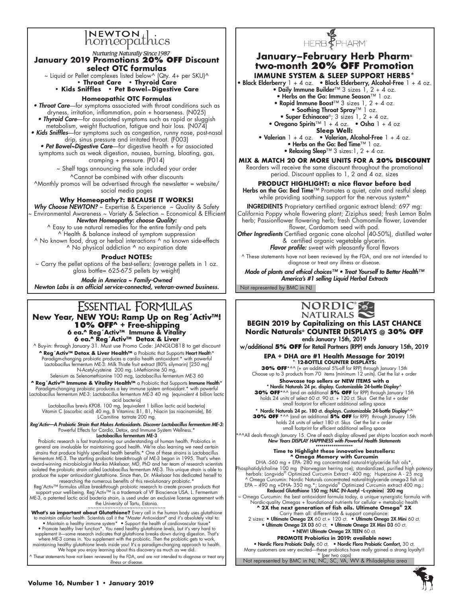# **NEWTON**<br>homeopathics

Nurturing Naturally Since 1987 **January 2019 Promotions 20% off Discount** 

**select OTC formulas**  $\sim$  Liquid or Pellet complexes listed below^ (Qty. 4+ per SKU)^ **• Throat Care • Thyroid Care**

# **• Kids Sniffles • Pet Bowel~Digestive Care**

### **Homeopathic OTC Formulas**

• Throat Care—for symptoms associated with throat conditions such as dryness, irritation, inflammation, pain + hoarseness. (N025) • Thyroid Care—for associated symptoms such as rapid or sluggish metabolism, weight fluctuation, fatigue and hair loss. (N074) • Kids Sniffles-for symptoms such as congestion, runny nose, post-nasal drip, sinus pressure and irritated throat. (F003) • Pet Bowel~Digestive Care-for digestive health + for associated symptoms such as weak digestion, nausea, burning, bloating, gas, cramping + pressure. (P014) ~ Shelf tags announcing the sale included your order ^Cannot be combined with other discounts

^Monthly promos will be advertised through the newsletter = website/ social media pages

### **Why Homeopathy?: BECAUSE IT WORKS!**

**Why Choose NEWTON?** ~ Expertise & Experience ~ Quality & Safety ~ Environmental Awareness ~ Variety & Selection ~ Economical & Efficient *Newton Homeopathy: choose Quality:*

^ Easy to use natural remedies for the entire family and pets ^ Health & balance instead of symptom suppression ^ No known food, drug or herbal interactions ^ no known side-effects ^ No physical addiction ^ no expiration date

**Product NOTES:**

~ Carry the pellet options of the best-sellers: (average pellets in 1 oz. glass bottle= 625-675 pellets by weight)

*Made in America ~ Family-Owned Newton Labs is an official service-connected, veteran-owned business.*

# ESSENTIAL FORMULAS

**New Year, NEW YOU: Ramp Up on Reg´Activ™! 10% OFF^ + Free-shipping 6 ea.^ Reg´Activ™ Immune & Vitality 6 ea.^ Reg´Activ™ Detox & Liver**

^ Buy-in: through January 31. Must use Promo Code: JANGLOB18 to get discount **^ Reg´Activ™ Detox & Liver Health™** a Probiotic that Supports Heart Health\* Paradigm-changing probiotic produces a cardio health antioxidant.\* with powerful Lactobacillus fermentum ME-3: Milk Thistle fruit extract (80% silymarin) [250 mg] N-Acetyl-cysteine 200 mg. L-Methionine 50 mg, Selenium as Selenomethionine 100 mcg, Lactobacillus fermentum ME-3 60

^ Reg' Activ™ Immune & Vitality Health™ a Probiotic that Supports Immune Health\* Paradigm-changing probiotic produces a key immune system antioxidant.\* with powerful Lactobacillus fermentum ME-3: Lactobacillus fermentum ME-3 40 mg (equivalent 4 billion lactic acid bacteria)

Lactobacillus brevis KP08. 100 mg, (equivalent 1 billion lactic acid bacteria) Vitamin C (ascorbic acid) 40 mg, B Vitamins: B1, B1, Niacin (as niacinamide), B6 L-Carnitine tartrate 200 mg.

*Reg'Activ—A Probiotic Strain that Makes Antioxidants. Discover Lactobacillus fermentum ME-3:*  Powerful Effects for Cardio, Detox, and Immune System Wellness.\* Lactobacillus fermentum ME-3

Probiotic research is fast transforming our understanding of human health. Probiotics in<br>general are invaluable for maintaining good health. We're also learning we need certain<br>strains that produce highly specified health fermentum ME-3. The startling probiotic breakthrough of ME-3 began in 1995. That's when award-winning microbiologist Marika Mikelsaar, MD, PhD and her team of research scientists isolated the probiotic strain called Lactobacillus fermentum ME-3. This unique strain is able to produce the super antioxidant glutathione. Since then, Dr. Mikelsaar has dedicated herself to researching the numerous benefits of this revolutionary probiotic.\*

Reg´Activ™ formulas utilize breakthrough probiotic research to create proven products that<br>support your well-being. Reg´Activ™ is a trademark of VF Bioscience USA. L. Fermentum ME-3, a patented lactic acid bacteria strain, is used under an exclusive license agreement with

**What's so important about Glutathione?** Every cell in the human body uses glutathione<br>to maintain cellular health. Scientists call it the "Master Antioxidant" and it's absolutely vital to:<br>
• Maintain a healthy immune sys

^ These statements have not been reviewed by the FDA, and are not intended to diagnose or treat any

illness or disease.



# **January–February Herb Pharm® two-month 20% OFF Promotion**

**IMMUNE SYSTEM & SLEEP SUPPORT HERBS\*** 

• Black Elderberry  $1 + 4$  oz. • Black Elderberry, Alcohol-Free  $1 + 4$  oz.

• Daily Immune Builder™ 3 sizes 1, 2 + 4 oz.

• Herbs on the Go: Immune Season™ 1 oz. • Rapid Immune Boost™ 3 sizes 1, 2 + 4 oz.

• Soothing Throat Spray™ 1 oz.

• Super Echinacea®;  $3$  sizes  $1, 2 + 4$  oz.

• Oregano Spirits<sup>™</sup> 1 + 4 oz. • Osha 1 + 4 oz

**Sleep Well:** 

• Valerian  $1 + 4$  oz. • Valerian, Alcohol-Free  $1 + 4$  oz. • Herbs on the Go: Bed Time™ 1 oz. • Relaxing Sleep™ 3 sizes:  $1, 2 + 4$  oz.

**MIX & MATCH 20 OR MORE UNITS FOR A 20% DISCOUNT**

Reorders will receive the same discount throughout the promotional period. Discount applies to 1, 2 and 4 oz. sizes

**PRODUCT HIGHLIGHT: a nice flavor before bed**

Herbs on the Go: Bed Time™ Promotes a quiet, calm and restful sleep while providing soothing support for the nervous system<sup>^</sup>

INGREDIENTS Proprietary certified organic extract blend: 697 mg: California Poppy whole flowering plant; Ziziphus seed; fresh Lemon Balm herb; Passionflower flowering herb; fresh Chamomile flower, Lavender flower, Cardamom seed with pod.

*Other Ingredients* Certified organic cane alcohol (40-50%), distilled water & certified organic vegetable glycerin. *Flavor profile:* sweet with pleasantly floral flavors

^ These statements have not been reviewed by the FDA, and are not intended to diagnose or treat any illness or disease.

Not represented by BMC in NJ Made of plants and ethical choices™ • Treat Yourself to Better Health™ *America's #1 selling Liquid Herbal Extracts*



**BEGIN 2019 by Capitalizing on this LAST CHANCE Nordic Naturals® COUNTER DISPLAYS @ 30% off** ends January 15th, 2019

w/additional **5% off** for Retail Partners (RPP) ends January 15th, 2019 **EPA + DHA are #1 Health Message for 2019!**

**\* 12-BOTTLE COUNTER DISPLAYS:** 

**30% OFF**\*^^ (+ an additional 5%-off for RPP) through January 15th Choose up to 3 products from 70 items (minimum  $12$  units). Get the list + order

**Showcase top sellers or NEW ITEMS with a** 

\* Nordic Naturals 24 pc. display. Customizable 24-bottle Display^ **30% OFF**\*^^ (and an additional **5% off** for RPP) through January 15th holds 24 units of select 60 ct. 90 ct. + 120 ct. Skus Get the list + order small footprint for efficient additional selling space

\* Nordic Naturals 24 pc. 180 ct. displays. Customizable 24-bottle Display^^ **30% OFF** \*^^ (and an additional **5% off** for RPP) through January 15th holds 24 units of select 180 ct. Skus Get the list + order small footprint for efficient additional selling space

\*^^All deals through January 15. One of each display allowed per ship-to location each month *New Years DISPLAY HAPPINESS with Powerful Health Statements*

\*\*\*\*\*\*\*\*\*\*\*\*\*\*\*\*\*\*\* **Time to Highlight these innovative bestsellers: ^ Omega Memory with Curcumin** DHA -560 mg + EPA- 280 mg concentrated natural-triglyceride fish oils\*,

sphatidylcholine 100 mg (Norwegian herring roe); standardized, purified high potency herbals: Longvida® Optimized Curcumin Extract - 400 mg; Huperzine A - 25 mcg ^ Omega Curcumin: Nordic Naturals concentrated natural-triglyceride omega-3 fish oil<br>EPA – 490 mg +DHA- 350 mg.\*; Longvida® Optimized Curcumin extract 400 mg.;<br>Relaced Glutathione 15**0 mg; NAC (N-Acetyl –l-cysteine)** 200

**^ 2X the next generation of fish oils. Ultimate Omega® 2X**

Carry them all: differentiate & support compliance:<br>2 sizes: • Ultimate Omega 2X 60 ct.+ 120 ct. • Ultimate Omega 2X Mini 60 ct.<br>• Ultimate Omega 2X D3 60 ct. • Ultimate Omega 2X Mini D3 60 ct.

• NEW! Ultimate Omega 2X TEEN 60 ct.

**PROMOTE Probiotics in 2019: available now:** 

• Nordic Flora Probiotic Daily, 60 ct. • Nordic Flora Probiotic Comfort, 30 ct. Many customers are very excited—these probiotics have really gained a strong loyalty!!

Not represented by BMC in NJ, NC, SC, VA, WV & Philadelphia area \* (per two caps)

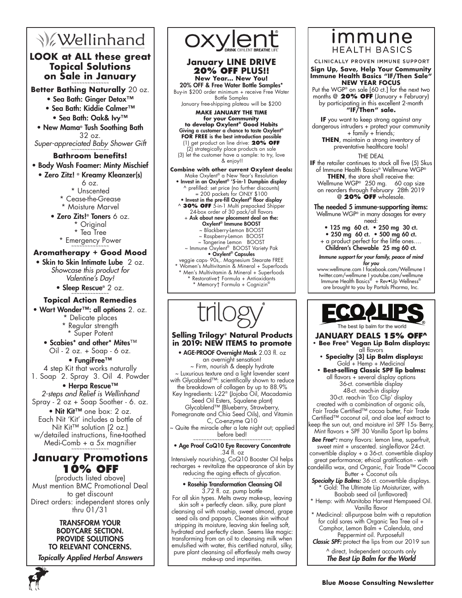# **V**ellinhand

# **LOOK at ALL these great Topical Solutions on Sale in January**

**Better Bathing Naturally** 20 oz.

- Sea Bath: Ginger Detox™
- Sea Bath: Kiddie Calmer™
	- Sea Bath: Oak& Ivy™
- New Mama® Tush Soothing Bath 32 oz.
- Super-appreciated Baby Shower Gift

## **Bathroom benefits!** • Body Wash Foamer: Minty Mischief

- Zero Zitz! ® Kreamy Kleanzer(s)
	- 6 oz.
	- \* Unscented \* Cease-the-Grease
	- \* Moisture Marvel
	- Zero Zits!® Toners 6 oz.
		- \* Original
		- \* Tea Tree
		- \* Emergency Power ~~~~~~~~~~~~~~

# **Aromatherapy + Good Mood**

• Skin to Skin Intimate Lube 2 oz. *Showcase this product for Valentine's Day!*

• Sleep Rescue®  $2 oz$ .

## **Topical Action Remedies**

- Wart Wonder™: all options 2. oz.
	- \* Delicate places \* Regular strength
	- \* Super Potent
	- Scabies\* and other\* Mites™ Oil - 2 oz. + Soap - 6 oz.

### • FungiFree™

4 step Kit that works naturally 1. Soap 2. Spray 3. Oil 4. Powder

• Herpa Rescue™ *2-steps and Relief is Wellinhand* Spray - 2 oz + Soap Soother - 6. oz.

• Nit Kit™ one box: 2 oz. Each Nit 'Kit' includes a bottle of Nit Kit™ solution (2 oz.) w/detailed instructions, fine-toothed Medi-Comb  $+ a 5x$  magnifier

# **January Promotions 10% OFF**

(products listed above) Must mention BMC Promotional Deal to get discount Direct orders: independent stores only thru 01/31

## TRANSFORM YOUR BODYCARE SECTION. PROVIDE SOLUTIONS TO RELEVANT CONCERNS.

*Topically Applied Herbal Answers*





### **January LINE DRIVE 20% OFF PLUS!! New Year… New You!**

20% OFF & Free Water Bottle Samples\* Buy-in \$200 order minimum + receive Free Water Bottle Samples

January free-shipping plateau will be \$200

**MAKE JANUARY THE TIME for your Community to develop Oxylent® Good Habits**

Giving a customer a chance to taste Oxylent® **FOR FREE** is the best introduction possible (1) get product on line drive: **20% OFF**

(2) strategically place products on sale (3) let the customer have a sample: to try, love & enjoy!!

**Combine with other current Oxylent deals:** Make Oxylent® a New Year's Resolution • Invest in an Oxylent® '5-in-1 Dumpbin display ^ prefilled: set price (no further discounts) = 200 packets for ONLY \$100 • Invest in the pre-fill Oxylent® floor display ^ **30% OFF** 5-in-1 Multi prepacked Shipper 24-box order of 30 pack/all flavors<br>+ **Ask about new placement deal on the:** Oxylent® Immune BOOST ~ Blackberry-Lemon BOOST ~ Raspberry-Lemon BO ~ Tangerine Lemon BOOST ~ Immune Oxylent® BOOST Variety Pak • Oxylent® Capsules veggie caps- 90s,. Magnesium Stearate FREE Women's Multivitamin & Mineral + Superfoods Men's Multivitamin & Mineral + Superfoods

\* Restorative† Formula + Antioxidants \* Memory† Formula + Cognizin®



### **Selling Trilogy® Natural Products in 2019: NEW ITEMS to promote**

• AGE-PROOF Overnight Mask 2.03 fl. oz an overnight sensation! ~ Firm, nourish & deeply hydrate ~ Luxurious texture and a light lavender scent with Glycablend™: scientifically shown to reduce the breakdown of collagen by up to 88.9% Key Ingredients: L-22® (Jojoba Oil, Macadamia Seed Oil Esters, Squalene plant) Glycablend™ (Blueberry, Strawberry, Pomegranate and Chia Seed Oils), and Vitamin

C, Co-enzyme Q10  $\sim$  Quite the miracle after a late night out; applied before bed!

### • Age Proof CoQ10 Eye Recovery Concentrate .34 fl. oz

Intensively nourishing, CoQ10 Booster Oil helps recharges + revitalize the appearance of skin by reducing the aging effects of glycation.

### • Rosehip Transformation Cleansing Oil 3.72 fl. oz. pump bottle

For all skin types. Melts away make-up, leaving skin soft + perfectly clean. silky, pure plant cleansing oil with rosehip, sweet almond, grape seed oils and papaya. Cleanses skin without stripping its moisture, leaving skin feeling soft, hydrated and perfectly clean. Seems like magic: transforming from an oil to cleansing milk when emulsified with water, this certified natural, silky, pure plant cleansing oil effortlessly melts away make-up and impurities.

# immune **HEALTH BASICS**

CLINICALLY PROVEN IMMUNE SUPPORT

#### **Sign Up, Save, Help Your Community Immune Health Basics "IF/Then Sale" NEW YEAR FOCUS**

Put the WGP® on sale [60 ct.] for the next two months @ **20% OFF** (January + February) by participating in this excellent 2-month **"IF/Then" sale.**

**If** you want to keep strong against any dangerous intruders + protect your community + family + friends;

THEN, maintain a strong inventory of preventative healthcare tools!

### THE DEAL

**IF** the retailer continues to stock all five (5) Skus of Immune Health Basics® Wellmune WGP® **THEN**, the store shall receive the:

Wellmune WGP® 250 mg. 60 cap size on reorders through February 28th 2019 @ **20% OFF** wholesale.

### The needed 5 immune-supporting items: Wellmune WGP<sup>®</sup> in many dosages for every

need:

- 125 mg 60 ct. 250 mg 30 ct.
- 250 mg 60 ct. 500 mg 60 ct.
- + a product perfect for the little ones…. Children's Chewable 25 mg 60 ct.

*Immune support for your family, peace of mind for you*

www.wellmune.com I facebook.com/Wellmune I twitter.com/wellmune I youtube.com/wellmune Immune Health Basics® + Rev•Up Wellness® are brought to you by Portals Pharma, Inc.



**JANUARY DEALS 15% OFF^**

- **Bee Free® Vegan Lip Balm displays:**  all flavors
	- **Specialty [3] Lip Balm displays:**  Gold + Hemp + Medicinal
- **Best-selling Classic SPF lip balms:**  all flavors + several display options 36-ct. convertible display 48-ct. reach-in display 30-ct. reach-in 'Eco Clip' display

created with a combination of organic oils, Fair Trade Certified™ cocoa butter, Fair Trade Certified™ coconut oil, and aloe leaf extract to keep the sun out, and moisture in! SPF 15s- Berry, Mint flavors + SPF 30 Vanilla Sport lip balms

*Bee Free®:* many flavors: lemon lime, superfruit, sweet mint + unscented. single-flavor 24-ct. convertible display + a 36-ct. convertible display great performance; ethical gratification - with candelilla wax, and Organic, Fair Trade™ Cocoa

- Butter + Coconut oils *Specialty Lip Balms:* 36 ct. convertible displays.
- \* Gold: The Ultimate Lip Moisturizer, with Baobab seed oil (unflavored)
- \* Hemp: with Manitoba Harvest Hempseed Oil. Vanilla flavor
- Medicinal: all-purpose balm with a reputation for cold sores with Organic Tea Tree oil + Camphor, Lemon Balm + Calendula, and Peppermint oil. Purposeful!

*Classic SPF:* protect the lips from our 2019 sun

^ direct, Independent accounts only *The Best Lip Balm for the World*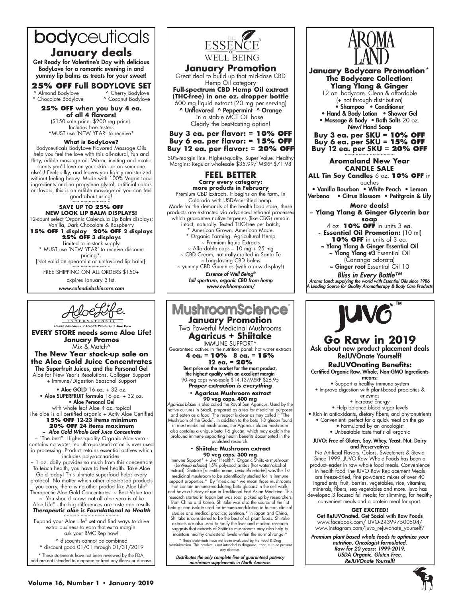# bodyceuticals

# **January deals**

Get Ready for Valentine's Day with delicious BodyLove for a romantic evening in and yummy lip balms as treats for your sweet!

**25% OFF Full BODYLOVE SET**<br>Almond Bodylove A Cherry Bodylove

^ Almond Bodylove ^ Cherry Bodylove<br>^ Chocolate Bodylove ^ Coconut Bodylove ^ Chocolate Bodylove

**25% off when you buy 4 ea. of all 4 flavors!** (\$150 sale price. \$200 reg price). Includes free testers

\*MUST use 'NEW YEAR' to receive\*

**What is BodyLove?**

Bodyceuticals BodyLove Flavored Massage Oils help you feel the love with this all-natural, fun and flirty, edible massage oil. Warm, inviting and exotic

scents you'll love on your skin - or on someone else's! Feels silky, and leaves you lightly moisturized without feeling heavy. Made with 100% Vegan food ingredients and no propylene glycol, artificial colors or flavors, this is an edible massage oil you can feel good about using!

~~~~~~~~~~~~~~ **SAVE UP TO 25% OFF**

**NEW LOOK LIP BALM DISPLAYS!** 12-count select Organic Calendula Lip Balm displays: Vanilla, Dark Chocolate & Raspberry

**15% off 1 display 20% off 2 displays**

**25% off 3 displays** Limited to in-stock supply \* MUST use 'NEW YEAR' to receive discount pricing\*.

[Not valid on spearmint or unflavored lip balm].<br>~~~~~~~~~~~~~~

FREE SHIPPING ON ALL ORDERS \$150+ Expires January 31st.

*www.calendulaskincare.com*



**EVERY STORE needs some Aloe Life! January Promos** Mix & Match<sup>^</sup>

### **The New Year stock-up sale on the Aloe Gold Juice Concentrates** The Superfruit Juices, and the Personal Gel Aloe for New Year's Resolutions, Collagen Support

+ Immune/Digestion Seasonal Support • Aloe GOLD 16 oz. + 32 oz.

• Aloe SUPERFRUIT formula 16 oz. + 32 oz. • Aloe Personal Gel with whole leaf Aloe 4 oz. topical

The aloe is all certified organic + Activ Aloe Certified **15% OFF 12-23 items minimum**

# **20% OFF 24 items maximum**

*~ Aloe Gold Whole Leaf Juice Concentrate*  – "The best". Highest-quality Organic Aloe vera contains no water; no ultra-pasteurization is ever used in processing. Product retains essential actives which includes polysaccharides.

1 oz. daily provides so much from this concentrate To teach health, you have to feel health. Take Aloe Gold today! This ultimate superfood helps every protocol! No matter which other aloe-based products you carry, there is no other product like Aloe Life® Therapeutic Aloe Gold Concentrates ~ Best Value too!

You should know: not all aloe vera is alike

Aloe Life® - the big differences are taste and results *Therapeutic aloe is Foundational to Health* ~~~~~~~~~~~~~~~~~~~~

Expand your Aloe Life® set and find ways to drive extra business to earn that extra margin: ask your BMC Rep how!

^ discounts cannot be combined ^ discount good 01/01 through 01/31/2019

\* These statements have not been reviewed by the FDA, and are not intended to diagnose or treat any illness or disease.



# **January Promotion**<br>Great deal to build up that mid-dose CBD

Hemp Oil category **Full-spectrum CBD Hemp Oil extract (THC-free) in one oz. dropper bottle**

600 mg liquid extract (20 mg per serving) ^ Unflavored ^ Peppermint ^ Orange in a stable MCT Oil base. Clearly the best-tasting option!

**Buy 3 ea. per flavor: = 10% OFF Buy 6 ea. per flavor: = 15% OFF Buy 12 ea. per flavor: = 20% OFF**

50%-margin line. Highest-quality. Super Value. Healthy Margins: Regular wholesale \$35.99/ MSRP \$71.98

### **FEEL BETTER Carry every category:**

**more products in February<br>Premium CBD Extracts. It begins on the farm, in** Colorado with USDA-certified hemp. Made for the demands of the health food store, these products are extracted via advanced ethanol processes which guarantee native terpenes (like CBG) remain intact, naturally. Tested THC-free per batch, American Grown. American Made. \* Organic Farming. Agricultural Hemp ~ Premium liquid Extracts ~ Affordable caps – 10 mg + 25 mg ~ CBD Cream, naturally-crafted in Santa Fe ~ Long-lasting CBD balms ~ yummy CBD Gummies (with a new display!) *Essence of Well Being®*

*full spectrum, organic CBD from hemp www.ewbhemp.com/*



and have a history of use in Traditional East Asian Medicine. This research started in Japan but was soon picked up by researchers from China and Korea. Shiitake was also the source of the 1st beta glucan isolate used for immuno-modulation in human clinical studies and medical practice; Lentinan.\* In Japan and China, Shiitake is considered to be the best of all plant foods. Shiitake extracts are also used to tonify the liver and modern research suggests that extracts of Shiitake mushrooms may also help to maintain healthy cholesterol levels within the normal range.\*

\* These statements have not been evaluated by the Food & Drug Administration. This product is not intended to diagnose, treat, cure or prevent any disease

*Distributes the only complete line of guaranteed potency mushroom supplements in North America.*



### **January Bodycare Promotion\* The Bodycare Collection: Ylang Ylang & Ginger**

12 oz. bodycare. Clean & affordable (+ not through distribution) • Shampoo • Conditioner • Hand & Body Lotion • Shower Gel

• Massage & Body • Bath Salts 20 oz. *New!* Hand Soap

**Buy 3 ea. per SKU = 10% O Buy 6 ea. per SKU = 15% O Buy 12 ea. per SKU = 20% OFF** 

### **Aromaland New Year CANDLE SALE**

**ALL Tin Soy Candles** 6 oz. **10% OFF** in eaches

• Vanilla Bourbon • White Peach • Lemon Verbena • Citrus Blossom • Petitgrain & Lily

## **More deals!**

~ **Ylang Ylang & Ginger Glycerin bar soap**

4 oz. **10% OFF** in units 3 ea.

~ **Essential Oil Promotion:** (10 ml) **10% OFF** in units of 3 ea.

- ~ Ylang Ylang & Ginger Essential Oil ~ Ylang Ylang #3 Essential Oil
	- (Cananga odorata) ~ Ginger root Essential Oil 10

*Bliss in Every Bottle™ Aroma Land: supplying the world with Essential Oils since 1986 A Leading Source for Quality Aromatherapy & Body Care Products* 



### **Go Raw in 2019** Ask about new product placement deals ReJUVOnate Yourself!

**ReJUVOnating Benefits:** Certified Organic Raw, Whole, Non-GMO Ingredients

means: • Support a healthy immune system • Improve digestion with plant-based probiotics &

- enzymes • Increase Energy
	- Help balance blood sugar levels

• Rich in antioxidants, dietary fibers, and phytonutrients

- Convenient: perfect for a quick meal on the go • Formulated by an oncologist
	- Unbeatable taste that's all organic

#### JUVO: Free of Gluten, Soy, Whey, Yeast, Nut, Dairy and Preservatives

No Artificial Flavors, Colors, Sweeteners & Stevia Since 1999, JUVO Raw Whole Foods has been a product-leader in raw whole food meals. Convenience in health food The JUVO Raw Replacement Meals are freeze-dried, fine powdered mixes of over 40 ingredients; fruit, berries, vegetables, rice, vitamins, minerals, fibers, sea vegetables and more. Juvo has developed 3 focused full meals; for slimming, for healthy convenient meals and a protein meal for sport.

#### **GET EXCITED!**

Get ReJUVOnated. Get Social with Raw Foods www.facebook.com/JUVO-243997500504/ www.instagram.com/juvo\_rejuvonate\_yourself/

*Premium plant based whole foods to optimize your nutrition. Oncologist formulated. Raw for 20 years: 1999-2019. USDA Organic. Gluten Free. ReJUVOnate Yourself!*

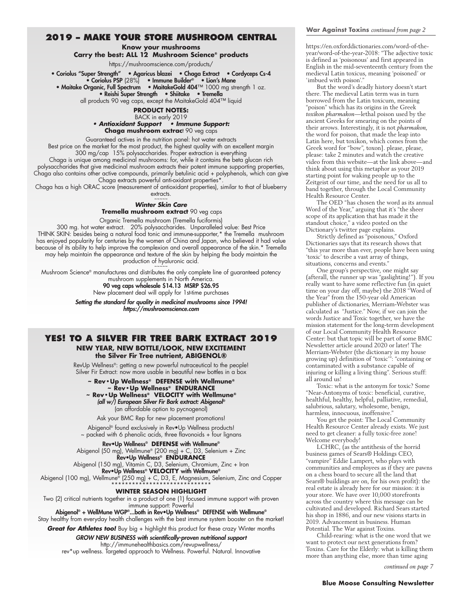### **2019 – Make your store Mushroom Central**

### **Know your mushrooms**

**Carry the best: ALL 12 Mushroom Science® products**

https://mushroomscience.com/products/

• Coriolus "Super Strength" • Agaricus blazei • Chaga Extract • Cordyceps Cs-4 • Coriolus PSP (28%) • Immune Builder® • Lion's Mane

• Maitake Organic, Full Spectrum • MaitakeGold 404™ 1000 mg strength 1 oz.

• Reishi Super Strength • Shiitake • Tremella

all products 90 veg caps, except the MaitakeGold 404™ liquid

### **PRODUCT NOTES:**

BACK in early 2019 **• Antioxidant Support • Immune Support:** 

**Chaga mushroom extrac**t 90 veg caps

Guaranteed actives in the nutrition panel: hot water extracts Best price on the market for the most product, the highest quality with an excellent margin 300 mg/cap 15% polysaccharides. Proper extraction is everything

Chaga is unique among medicinal mushrooms: for, while it contains the beta glucan rich polysaccharides that give medicinal mushroom extracts their potent immune supporting properties, Chaga also contains other active compounds, primarily betulinic acid + polyphenols, which can give Chaga extracts powerful anti-oxidant properties\*.

Chaga has a high ORAC score (measurement of antioxidant properties), similar to that of blueberry extracts.

~~~~~

### **Winter Skin Care**

**Tremella mushroom extract** 90 veg caps

Organic Tremella mushroom (Tremella fuciformis)

300 mg. hot water extract. 20% polysaccharides. Unparalleled value: Best Price THINK SKIN: besides being a natural food tonic and immune-supporter,\* the Tremella mushroom has enjoyed popularity for centuries by the women of China and Japan, who believed it had value because of its ability to help improve the complexion and overall appearance of the skin.\* Tremella may help maintain the appearance and texture of the skin by helping the body maintain the production of hyaluronic acid.

Mushroom Science® manufactures and distributes the only complete line of guaranteed potency mushroom supplements in North America. 90 veg caps wholesale \$14.13 MSRP \$26.95

New placement deal will apply for 1st-time purchases

*Setting the standard for quality in medicinal mushrooms since 1994! https://mushroomscience.com*

### **Yes! to a Silver Fir Tree Bark Extract 2019 NEW YEAR, NEW BOTTLE/LOOK, NEW EXCITEMENT the Silver Fir Tree nutrient, ABIGENOL®**

RevUp Wellness®: getting a new powerful nutraceutical to the people! Silver Fir Extract: now more usable in beautiful new bottles in a box

**~ Rev•Up Wellness® DEFENSE with Wellmune® ~ Rev•Up Wellness® ENDURANCE ~ Rev•Up Wellness® VELOCITY with Wellmune®** *(all w/) European Silver Fir Bark extract: Abigenol®* 

(an affordable option to pycnogenol) Ask your BMC Rep for new placement promotions!

Abigenol® found exclusively in Rev•Up Wellness products!  $\sim$  packed with 6 phenolic acids, three flavonoids + four lignans

Rev•Up Wellness® **DEFENSE** with Wellmune® Abigenol (50 mg), Wellmune® (200 mg) + C, D3, Selenium + Zinc Rev•Up Wellness® **ENDURANCE**

Abigenol (150 mg), Vitamin C, D3, Selenium, Chromium, Zinc + Iron Rev•Up Wellness® **VELOCITY** with Wellmune®

Abigenol (100 mg), Wellmune® (250 mg) + C, D3, E, Magnesium, Selenium, Zinc and Copper

#### \*\*\*\*\*\*\*\*\*\*\*\*\*\*\*\*\*\*\*\*\*\*\*\*\*\*\*\*\* **WINTER SEASON HIGHLIGHT**

Two (2) critical nutrients together in a product of one (1) focused immune support with proven immune support: Powerful

Abigenol® + WellMune WGP®...both in Rev•Up Wellness® DEFENSE with Wellmune® Stay healthy from everyday health challenges with the best immune system booster on the market!

**Great for Athletes too!** Buy big + highlight this product for these crazy Winter months

*GROW NEW BUSINESS with scientifically-proven nutritional support* http://immunehealthbasics.com/revupwellness/ rev\*up wellness. Targeted approach to Wellness. Powerful. Natural. Innovative https://en.oxforddictionaries.com/word-of-theyear/word-of-the-year-2018: "The adjective toxic is defined as 'poisonous' and first appeared in English in the mid-seventeenth century from the medieval Latin toxicus, meaning 'poisoned' or 'imbued with poison'."

But the word's deadly history doesn't start there. The medieval Latin term was in turn borrowed from the Latin toxicum, meaning "poison" which has its origins in the Greek *toxikon pharmakon*—lethal poison used by the ancient Greeks for smearing on the points of their arrows. Interestingly, it is not *pharmakon*, the word for poison, that made the leap into Latin here, but toxikon, which comes from the Greek word for "bow", toxon]. please, please, please: take 2 minutes and watch the creative video from this website—at the link above—and think about using this metaphor as your 2019 starting point for waking people up to the Zeitgeist of our time, and the need for us all to band together, through the Local Community Health Resource Center.

The OED "has chosen the word as its annual Word of the Year," arguing that it's "the sheer scope of its application that has made it the standout choice," a video posted on the Dictionary's twitter page explains.

Strictly defined as "poisonous," Oxford Dictionaries says that its research shows that "this year more than ever, people have been using 'toxic' to describe a vast array of things, situations, concerns and events."

One group's perspective, one might say (afterall, the runner up was "gaslighting!"). If you really want to have some reflective fun (in quiet time on your day off, maybe) the 2018 "Word of the Year" from the 150-year old American publisher of dictionaries, Merriam-Webster was calculated as "Justice." Now, if we can join the words Justice and Toxic together, we have the mission statement for the long-term development of our Local Community Health Resource Center: but that topic will be part of some BMC Newsletter article around 2020 or later! The Merriam-Webster (the dictionary in my house growing up) definition of "toxic'": "containing or contaminated with a substance capable of injuring or killing a living thing". Serious stuff: all around us!

Toxic: what is the antonym for toxic? Some "Near-Antonyms of toxic: beneficial, curative, healthful, healthy, helpful, palliative, remedial, salubrious, salutary, wholesome, benign, harmless, innocuous, inoffensive.

You get the point: The Local Community Health Resource Center already exists. We just need to get cleaner: a fully toxic-free zone! Welcome everybody!

LCHRC, (as the antithesis of the horrid business games of Sears® Holdings CEO, "vampire" Eddie Lampert, who plays with communities and employees as if they are pawns on a chess board to secure all the land that Sears® buildings are on, for his own profit): the real estate is already here for our mission: it is your store. We have over 10,000 storefronts across the country where this message can be cultivated and developed. Richard Sears started his shop in 1886, and our new visions starts in 2019. Advancement in business. Human Potential. The War against Toxins.

Child-rearing: what is the one word that we want to protect our next generations from? Toxins. Care for the Elderly: what is killing them more than anything else, more than time aging

*continued on page 7*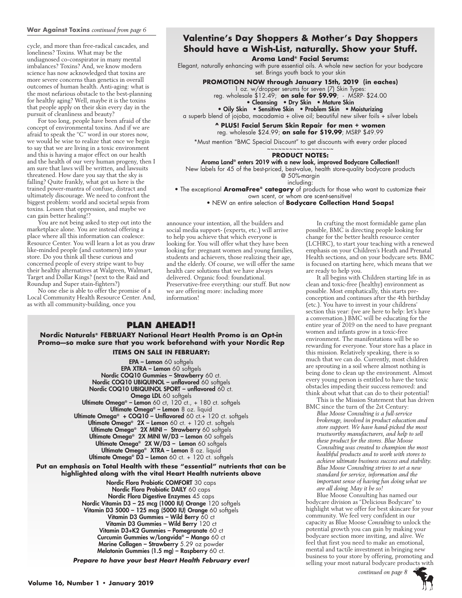### **War Against Toxins** *continued from page 6*

cycle, and more than free-radical cascades, and loneliness? Toxins. What may be the undiagnosed co-conspirator in many mental imbalances? Toxins? And, we know modern science has now acknowledged that toxins are more severe concerns than genetics in overall outcomes of human health. Anti-aging: what is the most nefarious obstacle to the best-planning for healthy aging? Well, maybe it is the toxins that people apply on their skin every day in the pursuit of cleanliness and beauty?

For too long, people have been afraid of the concept of environmental toxins. And if we are afraid to speak the "C" word in our stores now, we would be wise to realize that once we begin to say that we are living in a toxic environment and this is having a major effect on our health and the health of our very human progeny, then I am sure that laws will be written, and lawsuits threatened. How dare you say that the sky is falling? Quite frankly, what got us here is the trained power-mantra of confuse, distract and ultimately discourage. We need to confront the biggest problem: world and societal sepsis from toxins. Lessen that oppression, and maybe we can gain better healing!?

You are not being asked to step out into the marketplace alone. You are instead offering a place where all this information can coalesce: Resource Center. You will learn a lot as you draw like-minded people (and customers) into your store. Do you think all these curious and concerned people of every stripe want to buy their healthy alternatives at Walgreen, Walmart, Target and Dollar Kings? (next to the Raid and Roundup and Super stain-fighters?)

No one else is able to offer the promise of a Local Community Health Resource Center. And, as with all community-building, once you

# **Valentine's Day Shoppers & Mother's Day Shoppers Should have a Wish-List, naturally. Show your Stuff.**

**Aroma Land® Facial Serums:** 

Elegant, naturally enhancing with pure essential oils. A whole new section for your bodycare set. Brings youth back to your skin

**PROMOTION NOW through January 15th, 2019 (in eaches)**

1 oz. w/dropper serums for seven (7) Skin Types:

reg. wholesale \$12.49; **on sale for \$9.99**; - MSRP- \$24.00

• Cleansing • Dry Skin • Mature Skin

• Oily Skin • Sensitive Skin • Problem Skin • Moisturizing

a superb blend of jojoba, macadamia + olive oil; beautiful new silver foils + silver labels

**^ PLUS! Facial Serum Skin Repair for men + women**  reg. wholesale \$24.99; **on sale for \$19.99**; MSRP \$49.99

\*Must mention "BMC Special Discount" to get discounts with every order placed

#### ~~~~~~~~~~~~~~~~~~ **PRODUCT NOTES:**

Aroma Land® enters 2019 with a new look, improved Bodycare Collection!! New labels for 45 of the best-priced, best-value, health store-quality bodycare products

@ 50%-margin

including: • The exceptional **AromaFree® category** of products for those who want to customize their

own scent, or whom are scent-sensitive!

• NEW an entire selection of **Bodycare Collection Hand Soaps!**

announce your intention, all the builders and social media support- (experts, etc.) will arrive to help you achieve that which everyone is looking for. You will offer what they have been looking for: pregnant women and young families, students and achievers, those realizing their age, and the elderly. Of course, we will offer the same health care solutions that we have always delivered. Organic food: foundational. Preservative-free everything: our stuff. But now we are offering more: including more information!

## **PLAN AHEAD!!**

**Nordic Naturals® FEBRUARY National Heart Health Promo is an Opt-in Promo—so make sure that you work beforehand with your Nordic Rep Items on Sale in February:**

> EPA – Lemon 60 softgels EPA XTRA – Lemon 60 softgels Nordic COQ10 Gummies – Strawberry 60 ct. Nordic COQ10 UBIQUINOL - unflavored 60 softgels Nordic COQ10 UBIQUINOL SPORT - unflavored 60 ct. Omega LDL 60 softgels Ultimate Omega® - Lemon 60 ct, 120 ct., + 180 ct. softgels Ultimate Omega® – Lemon 8 oz. liquid **Ultimate Omega® + COQ10 – Unflavored** 60 ct.+ 120 ct. softgels **Ultimate Omega® 2X – Lemon** 60 ct. + 120 ct. softgels Ultimate Omega® 2X MINI – Strawberry 60 softgels Ultimate Omega® 2X MINI W/D3 – Lemon 60 softgels Ultimate Omega® 2X W/D3 - Lemon 60 softgels Ultimate Omega® XTRA – Lemon 8 oz. liquid **Ultimate Omega® D3 – Lemon** 60 ct. + 120 ct. softgels

**Put an emphasis on Total Health with these "essential" nutrients that can be highlighted along with the vital Heart Health nutrients above**

> Nordic Flora Probiotic COMFORT 30 caps Nordic Flora Probiotic DAILY 60 caps Nordic Flora Digestive Enzymes 45 caps Nordic Vitamin D3 – 25 mcg (1000 IU) Orange 120 softgels Vitamin D3 5000 – 125 mcg (5000 IU) Orange 60 softgels Vitamin D3 Gummies - Wild Berry 60 ct Vitamin D3 Gummies - Wild Berry 120 ct Vitamin D3+K2 Gummies – Pomegranate 60 ct Curcumin Gummies w/Longvida® – Mango 60 ct Marine Collagen – Strawberry 5.29 oz powder Melatonin Gummies (1.5 mg) – Raspberry 60 ct.

*Prepare to have your best Heart Health February ever!*

In crafting the most formidable game plan possible, BMC is directing people looking for change for the better health resource center (LCHRC), to start your teaching with a renewed emphasis on your Children's Heath and Prenatal Health sections, and on your bodycare sets. BMC is focused on starting here, which means that we are ready to help you.

It all begins with Children starting life in as clean and toxic-free (healthy) environment as possible. Most emphatically, this starts preconception and continues after the 4th birthday (etc.). You have to invest in your childrens' section this year: (we are here to help: let's have a conversation.) BMC will be educating for the entire year of 2019 on the need to have pregnant women and infants grow in a toxic-free environment. The manifestations will be so rewarding for everyone. Your store has a place in this mission. Relatively speaking, there is so much that we can do. Currently, most children are sprouting in a soil where almost nothing is being done to clean up the environment. Almost every young person is entitled to have the toxic obstacles impeding their success removed: and think about what that can do to their potential!

This is the Mission Statement that has driven BMC since the turn of the 2st Century:

*Blue Moose Consulting is a full-service brokerage, involved in product education and store support. We have hand-picked the most trustworthy manufacturers, and help to sell these product for the stores. Blue Moose Consulting was created to champion the most healthful products and to work with stores to achieve ultimate business success and stability. Blue Moose Consulting strives to set a new standard for service, information and the important sense of having fun doing what we are all doing. May it be so!*

Blue Moose Consulting has named our bodycare division as "Delicious Bodycare" to highlight what we offer for best skincare for your community. We feel very confident in our capacity as Blue Moose *Consulting* to unlock the potential growth you can gain by making your bodycare section more inviting, and alive. We feel that first you need to make an emotional, mental and tactile investment in bringing new business to your store by offering, promoting and selling your most natural bodycare products with

 *continued on page 8*